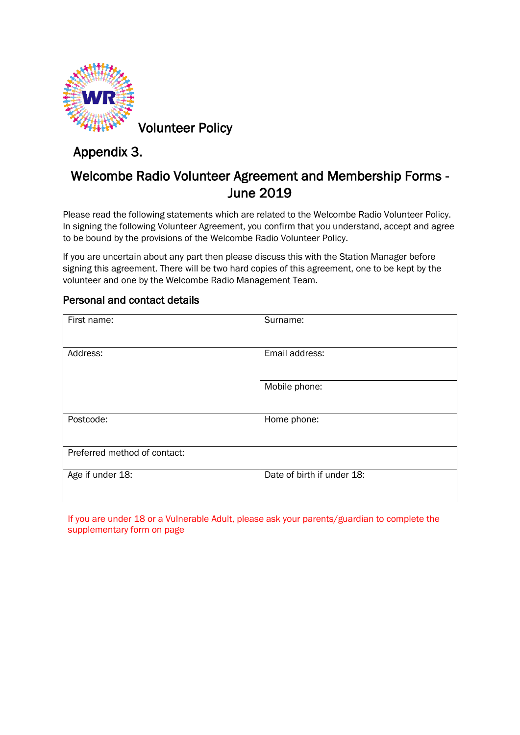

Volunteer Policy

## Appendix 3.

## Welcombe Radio Volunteer Agreement and Membership Forms - June 2019

Please read the following statements which are related to the Welcombe Radio Volunteer Policy. In signing the following Volunteer Agreement, you confirm that you understand, accept and agree to be bound by the provisions of the Welcombe Radio Volunteer Policy.

If you are uncertain about any part then please discuss this with the Station Manager before signing this agreement. There will be two hard copies of this agreement, one to be kept by the volunteer and one by the Welcombe Radio Management Team.

#### Personal and contact details

| First name:                  | Surname:                   |
|------------------------------|----------------------------|
|                              |                            |
| Address:                     | Email address:             |
|                              |                            |
|                              | Mobile phone:              |
|                              |                            |
| Postcode:                    | Home phone:                |
|                              |                            |
| Preferred method of contact: |                            |
| Age if under 18:             | Date of birth if under 18: |
|                              |                            |

If you are under 18 or a Vulnerable Adult, please ask your parents/guardian to complete the supplementary form on page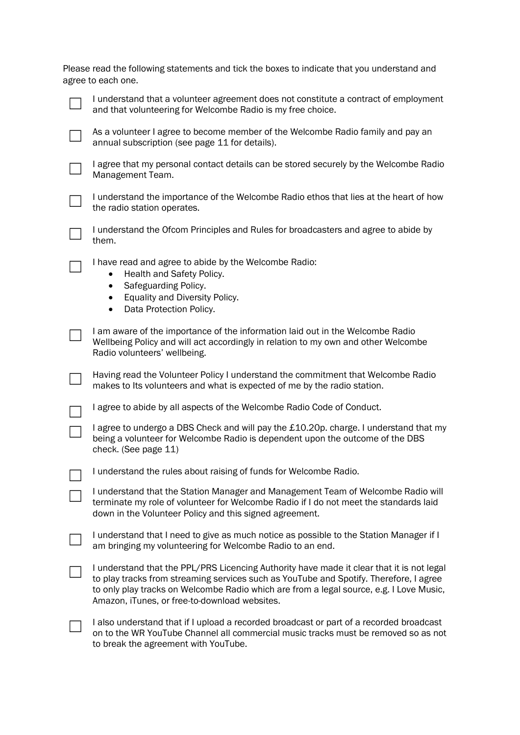| Please read the following statements and tick the boxes to indicate that you understand and |  |  |  |  |
|---------------------------------------------------------------------------------------------|--|--|--|--|
| agree to each one.                                                                          |  |  |  |  |



☐ I understand that a volunteer agreement does not constitute a contract of employment and that volunteering for Welcombe Radio is my free choice.



As a volunteer I agree to become member of the Welcombe Radio family and pay an annual subscription (see page 11 for details).



☐ I agree that my personal contact details can be stored securely by the Welcombe Radio Management Team.



☐ I understand the importance of the Welcombe Radio ethos that lies at the heart of how the radio station operates.

☐ I understand the Ofcom Principles and Rules for broadcasters and agree to abide by them.

I have read and agree to abide by the Welcombe Radio:

- Health and Safety Policy.
- Safeguarding Policy.
- Equality and Diversity Policy.
- Data Protection Policy.

☐ I am aware of the importance of the information laid out in the Welcombe Radio Wellbeing Policy and will act accordingly in relation to my own and other Welcombe Radio volunteers' wellbeing.

☐ Having read the Volunteer Policy I understand the commitment that Welcombe Radio makes to Its volunteers and what is expected of me by the radio station.

☐ I agree to abide by all aspects of the Welcombe Radio Code of Conduct.

Lagree to undergo a DBS Check and will pay the £10.20p. charge. I understand that my being a volunteer for Welcombe Radio is dependent upon the outcome of the DBS check. (See page 11)

☐ I understand the rules about raising of funds for Welcombe Radio.

| I understand that the Station Manager and Management Team of Welcombe Radio will      |
|---------------------------------------------------------------------------------------|
| terminate my role of volunteer for Welcombe Radio if I do not meet the standards laid |
| down in the Volunteer Policy and this signed agreement.                               |

☐ I understand that I need to give as much notice as possible to the Station Manager if I am bringing my volunteering for Welcombe Radio to an end.

I understand that the PPL/PRS Licencing Authority have made it clear that it is not legal to play tracks from streaming services such as YouTube and Spotify. Therefore, I agree to only play tracks on Welcombe Radio which are from a legal source, e.g. I Love Music, Amazon, iTunes, or free-to-download websites.

☐ I also understand that if I upload a recorded broadcast or part of a recorded broadcast on to the WR YouTube Channel all commercial music tracks must be removed so as not to break the agreement with YouTube.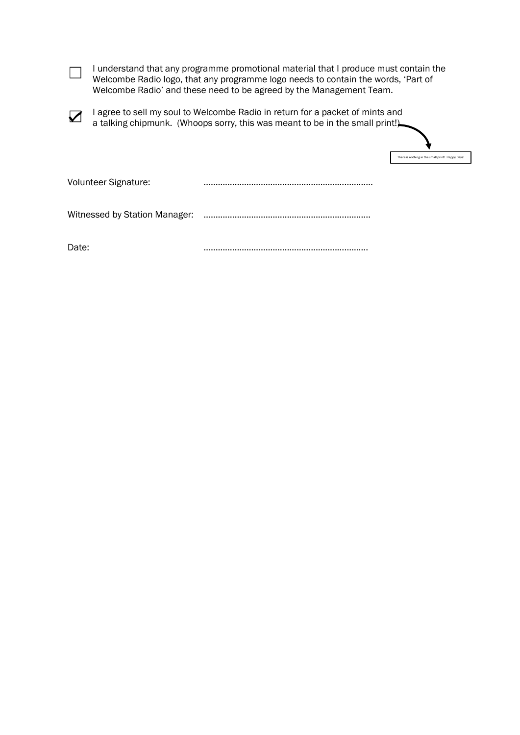□ I understand that any programme promotional material that I produce must contain the Welcombe Radio logo, that any programme logo needs to contain the words, 'Part of Welcombe Radio' and these need to be agreed by the Management Team.

☑ I agree to sell my soul to Welcombe Radio in return for a packet of mints and a talking chipmunk. (Whoops sorry, this was meant to be in the small print!)

| There is nothing in the small print! Happy Days! |  |
|--------------------------------------------------|--|

Volunteer Signature: ………………………………………………..……………

Witnessed by Station Manager: ………………………………………………..…………..

Date: ………………………………………………..………….

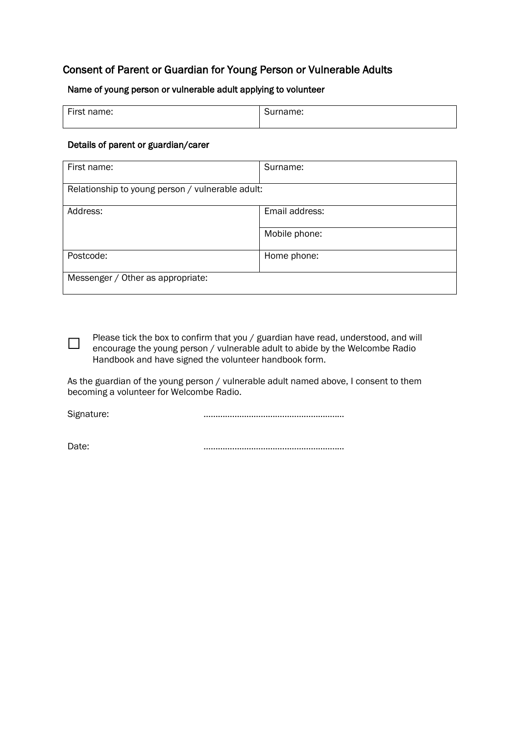#### Consent of Parent or Guardian for Young Person or Vulnerable Adults

#### Name of young person or vulnerable adult applying to volunteer

| First name: | Surname: |
|-------------|----------|
|             |          |

#### Details of parent or guardian/carer

| First name:                                      | Surname:       |
|--------------------------------------------------|----------------|
| Relationship to young person / vulnerable adult: |                |
| Address:                                         | Email address: |
|                                                  | Mobile phone:  |
| Postcode:                                        | Home phone:    |
| Messenger / Other as appropriate:                |                |

Please tick the box to confirm that you / guardian have read, understood, and will encourage the young person / vulnerable adult to abide by the Welcombe Radio Handbook and have signed the volunteer handbook form.

As the guardian of the young person / vulnerable adult named above, I consent to them becoming a volunteer for Welcombe Radio.

Signature: **manual contract of the contract of the contract of the contract of the contract of the contract of t** 

 $\Box$ 

Date: ………………………………………………..…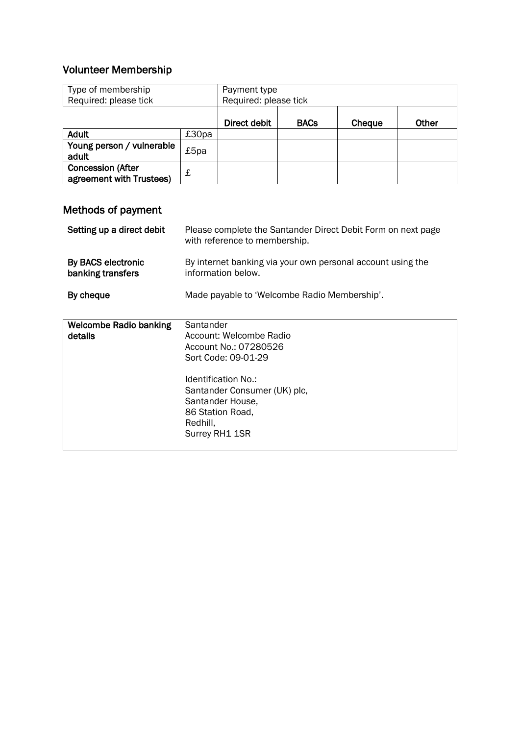### Volunteer Membership

| Type of membership<br>Required: please tick          |       | Payment type<br>Required: please tick |             |        |              |
|------------------------------------------------------|-------|---------------------------------------|-------------|--------|--------------|
|                                                      |       | Direct debit                          | <b>BACs</b> | Cheque | <b>Other</b> |
| <b>Adult</b>                                         | £30pa |                                       |             |        |              |
| Young person / vulnerable<br>adult                   | £5pa  |                                       |             |        |              |
| <b>Concession (After</b><br>agreement with Trustees) | £     |                                       |             |        |              |

# Methods of payment

| Setting up a direct debit                | Please complete the Santander Direct Debit Form on next page<br>with reference to membership.                                                                                                                     |
|------------------------------------------|-------------------------------------------------------------------------------------------------------------------------------------------------------------------------------------------------------------------|
| By BACS electronic<br>banking transfers  | By internet banking via your own personal account using the<br>information below.                                                                                                                                 |
| By cheque                                | Made payable to 'Welcombe Radio Membership'.                                                                                                                                                                      |
| <b>Welcombe Radio banking</b><br>details | Santander<br>Account: Welcombe Radio<br>Account No.: 07280526<br>Sort Code: 09-01-29<br>Identification No.:<br>Santander Consumer (UK) plc,<br>Santander House,<br>86 Station Road,<br>Redhill,<br>Surrey RH1 1SR |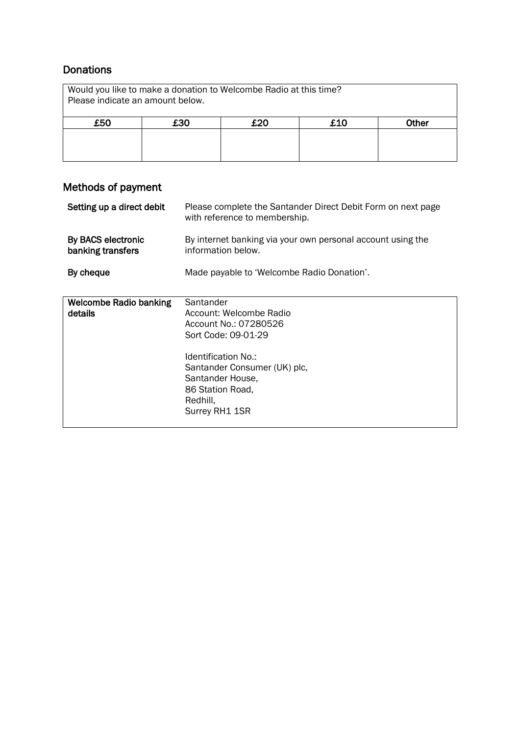#### **Donations**

| Would you like to make a donation to Welcombe Radio at this time?<br>Please indicate an amount below. |                            |  |  |  |  |
|-------------------------------------------------------------------------------------------------------|----------------------------|--|--|--|--|
| £50                                                                                                   | £10<br>£30<br>£20<br>Other |  |  |  |  |
|                                                                                                       |                            |  |  |  |  |
|                                                                                                       |                            |  |  |  |  |

### Methods of payment

| Setting up a direct debit                | Please complete the Santander Direct Debit Form on next page<br>with reference to membership.                                                                                                                     |
|------------------------------------------|-------------------------------------------------------------------------------------------------------------------------------------------------------------------------------------------------------------------|
| By BACS electronic<br>banking transfers  | By internet banking via your own personal account using the<br>information below.                                                                                                                                 |
| By cheque                                | Made payable to 'Welcombe Radio Donation'.                                                                                                                                                                        |
| <b>Welcombe Radio banking</b><br>details | Santander<br>Account: Welcombe Radio<br>Account No.: 07280526<br>Sort Code: 09-01-29<br>Identification No.:<br>Santander Consumer (UK) plc,<br>Santander House,<br>86 Station Road,<br>Redhill,<br>Surrey RH1 1SR |